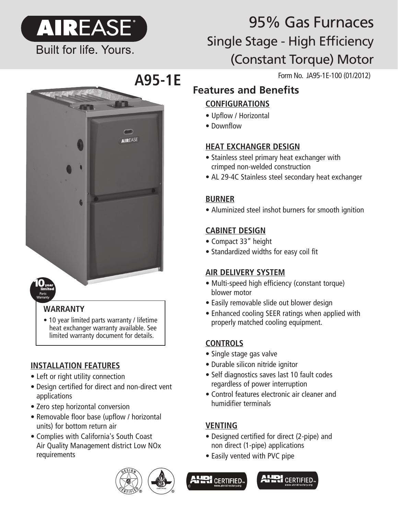

# 95% Gas Furnaces Single Stage - High Efficiency (Constant Torque) Motor

Form No. JA95-1E-100 (01/2012)

## **Features and Benefits**

## **CONFIGURATIONS**

- Upflow / Horizontal
- Downflow

## **HEAT EXCHANGER DESIGN**

- Stainless steel primary heat exchanger with crimped non-welded construction
- AL 29-4C Stainless steel secondary heat exchanger

## **BURNER**

• Aluminized steel inshot burners for smooth ignition

#### **CABINET DESIGN**

- Compact 33" height
- Standardized widths for easy coil fit

#### **AIR DELIVERY SYSTEM**

- Multi-speed high efficiency (constant torque) blower motor
- Easily removable slide out blower design
- Enhanced cooling SEER ratings when applied with properly matched cooling equipment.

## **CONTROLS**

- Single stage gas valve
- Durable silicon nitride ignitor
- Self diagnostics saves last 10 fault codes regardless of power interruption
- Control features electronic air cleaner and humidifier terminals

## **VENTING**

- Designed certified for direct (2-pipe) and non direct (1-pipe) applications
- Easily vented with PVC pipe



## **WARRANTY**

• 10 year limited parts warranty / lifetime heat exchanger warranty available. See limited warranty document for details.

## **INSTALLATION FEATURES**

- Left or right utility connection
- Design certified for direct and non-direct vent applications
- Zero step horizontal conversion
- Removable floor base (upflow / horizontal units) for bottom return air
- Complies with California's South Coast Air Quality Management district Low NOx requirements



**A95-1E**

**AIREASE** 



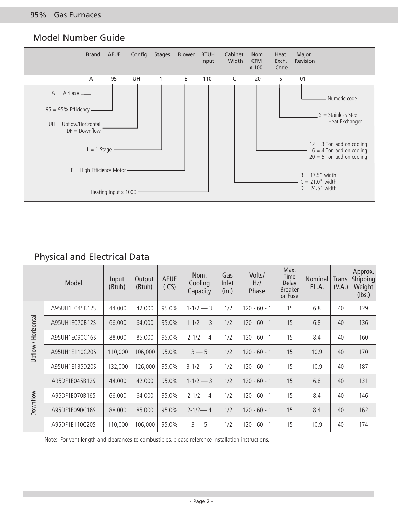#### Model Number Guide



## Physical and Electrical Data

|                     | Model          | Input<br>(Btuh) | Output<br>(Btuh) | <b>AFUE</b><br>(ICS) | Nom.<br>Cooling<br>Capacity | Gas<br>Inlet<br>(in.) | Volts/<br>Hz/<br>Phase | Max.<br>Time<br>Delay<br><b>Breaker</b><br>or Fuse | <b>Nominal</b><br>F.L.A. | Trans.<br>(V.A.) | Approx.<br>Shipping<br>Weight<br>(lbs.) |
|---------------------|----------------|-----------------|------------------|----------------------|-----------------------------|-----------------------|------------------------|----------------------------------------------------|--------------------------|------------------|-----------------------------------------|
| Upflow / Horizontal | A95UH1E045B12S | 44,000          | 42,000           | 95.0%                | $1 - 1/2 - 3$               | 1/2                   | $120 - 60 - 1$         | 15                                                 | 6.8                      | 40               | 129                                     |
|                     | A95UH1E070B12S | 66,000          | 64,000           | 95.0%                | $1 - 1/2 - 3$               | 1/2                   | $120 - 60 - 1$         | 15                                                 | 6.8                      | 40               | 136                                     |
|                     | A95UH1E090C16S | 88,000          | 85,000           | 95.0%                | $2 - 1/2 - 4$               | 1/2                   | $120 - 60 - 1$         | 15                                                 | 8.4                      | 40               | 160                                     |
|                     | A95UH1E110C20S | 110,000         | 106,000          | 95.0%                | $3 - 5$                     | 1/2                   | $120 - 60 - 1$         | 15                                                 | 10.9                     | 40               | 170                                     |
|                     | A95UH1E135D20S | 132,000         | 126,000          | 95.0%                | $3-1/2 - 5$                 | 1/2                   | $120 - 60 - 1$         | 15                                                 | 10.9                     | 40               | 187                                     |
| Downflow            | A95DF1E045B12S | 44,000          | 42,000           | 95.0%                | $1 - 1/2 - 3$               | 1/2                   | $120 - 60 - 1$         | 15                                                 | 6.8                      | 40               | 131                                     |
|                     | A95DF1E070B16S | 66,000          | 64,000           | 95.0%                | $2 - 1/2 - 4$               | 1/2                   | $120 - 60 - 1$         | 15                                                 | 8.4                      | 40               | 146                                     |
|                     | A95DF1E090C16S | 88,000          | 85,000           | 95.0%                | $2 - 1/2 - 4$               | 1/2                   | $120 - 60 - 1$         | 15                                                 | 8.4                      | 40               | 162                                     |
|                     | A95DF1E110C20S | 110,000         | 106,000          | 95.0%                | $3 - 5$                     | 1/2                   | $120 - 60 - 1$         | 15                                                 | 10.9                     | 40               | 174                                     |

Note: For vent length and clearances to combustibles, please reference installation instructions.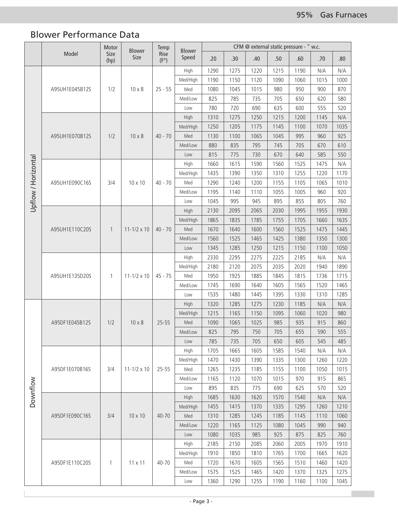## Blower Performance Data

|                     | Model          | Motor<br>Size<br>(hp) | <b>Blower</b><br>Size | Temp                  | <b>Blower</b><br>Speed | CFM @ external static pressure - " w.c. |      |      |                                                                                                                                                                                     |                              |      |      |     |
|---------------------|----------------|-----------------------|-----------------------|-----------------------|------------------------|-----------------------------------------|------|------|-------------------------------------------------------------------------------------------------------------------------------------------------------------------------------------|------------------------------|------|------|-----|
|                     |                |                       |                       | Rise<br>$(F^{\circ})$ |                        | .20                                     | .30  | .40  | .50                                                                                                                                                                                 | .60                          | .70  | .80  |     |
|                     |                |                       |                       |                       | High                   | 1290                                    | 1275 | 1220 | 1215                                                                                                                                                                                | 1190                         | N/A  | N/A  |     |
|                     |                |                       |                       |                       | Med/High               | 1190                                    | 1150 | 1120 | 1090                                                                                                                                                                                | 1060                         | 1015 | 1000 |     |
|                     | A95UH1E045B12S | 1/2                   | $10 \times 8$         | $25 - 55$             | Med                    | 1080                                    | 1045 | 1015 | 980                                                                                                                                                                                 | 950                          | 900  | 870  |     |
|                     |                |                       |                       |                       |                        | Med/Low                                 | 825  | 785  | 735                                                                                                                                                                                 | 705                          | 650  | 620  | 580 |
|                     |                |                       |                       |                       | Low                    | 780                                     | 720  | 690  | 635                                                                                                                                                                                 | 600                          | 555  | 520  |     |
|                     | A95UH1E070B12S |                       |                       |                       | High                   | 1310                                    | 1275 | 1250 | 1215                                                                                                                                                                                | 1200                         | 1145 | N/A  |     |
|                     |                |                       | $10 \times 8$         | $40 - 70$             | Med/High               | 1250                                    | 1205 | 1175 | 1145                                                                                                                                                                                | 1100                         | 1070 | 1035 |     |
|                     |                | 1/2                   |                       |                       | Med                    | 1130                                    | 1100 | 1065 | 1045                                                                                                                                                                                | 995                          | 960  | 925  |     |
|                     |                |                       |                       |                       | Med/Low                | 880                                     | 835  | 795  | 745                                                                                                                                                                                 | 705                          | 670  | 610  |     |
|                     |                |                       |                       |                       | Low                    | 815                                     | 775  | 730  | 670                                                                                                                                                                                 | 640                          | 585  | 550  |     |
|                     |                |                       |                       |                       | High                   | 1660                                    | 1615 | 1590 | 1560                                                                                                                                                                                | 1525                         | 1475 | N/A  |     |
|                     |                |                       | 10 x 10               | $40 - 70$             | Med/High               | 1435                                    | 1390 | 1350 | 1310                                                                                                                                                                                | 1255                         | 1220 | 1170 |     |
| Upflow / Horizontal | A95UH1E090C16S | 3/4                   |                       |                       | Med                    | 1290                                    | 1240 | 1200 | 1155                                                                                                                                                                                | 1105                         | 1065 | 1010 |     |
|                     |                |                       |                       |                       | Med/Low                | 1195                                    | 1140 | 1110 | 1055                                                                                                                                                                                | 1005                         | 960  | 920  |     |
|                     |                |                       |                       |                       | Low                    | 1045                                    | 995  | 945  | 895                                                                                                                                                                                 | 855                          | 805  | 760  |     |
|                     |                |                       |                       |                       | High                   | 2130                                    | 2095 | 2065 |                                                                                                                                                                                     |                              |      | 1930 |     |
|                     | A95UH1E110C20S |                       |                       |                       | Med/High               | 1865                                    | 1835 | 1785 |                                                                                                                                                                                     | 1705<br>1660<br>1525<br>1475 | 1635 |      |     |
|                     |                | $\overline{1}$        | $11 - 1/2 \times 10$  | $40 - 70$             | Med                    | 1670                                    | 1640 | 1600 |                                                                                                                                                                                     |                              |      | 1445 |     |
|                     |                |                       |                       |                       | Med/Low                | 1560                                    | 1525 | 1465 | 2030<br>1995<br>1955<br>1755<br>1560<br>1425<br>1380<br>1350<br>1215<br>1150<br>1100<br>2225<br>2185<br>N/A<br>2035<br>2020<br>1940<br>1845<br>1815<br>1736<br>1605<br>1565<br>1520 |                              | 1300 |      |     |
|                     |                |                       |                       |                       | Low                    | 1345                                    | 1285 | 1250 |                                                                                                                                                                                     |                              |      | 1050 |     |
|                     | A95UH1E135D20S |                       |                       |                       | High                   | 2330                                    | 2295 | 2275 |                                                                                                                                                                                     |                              |      | N/A  |     |
|                     |                |                       |                       |                       | Med/High               | 2180                                    | 2120 | 2075 |                                                                                                                                                                                     |                              |      | 1890 |     |
|                     |                | $\mathbf{1}$          | $11 - 1/2 \times 10$  | $45 - 75$             | Med                    | 1950                                    | 1925 | 1885 |                                                                                                                                                                                     |                              |      | 1715 |     |
|                     |                |                       |                       |                       | Med/Low                | 1745                                    | 1690 | 1640 |                                                                                                                                                                                     |                              |      | 1465 |     |
|                     |                |                       |                       |                       | Low                    | 1535                                    | 1480 | 1445 | 1395                                                                                                                                                                                | 1330                         | 1310 | 1285 |     |
|                     | A95DF1E045B12S |                       | $10 \times 8$         | $25 - 55$             | High                   | 1320                                    | 1285 | 1275 | 1230                                                                                                                                                                                | 1185                         | N/A  | N/A  |     |
|                     |                | 1/2                   |                       |                       | Med/High               | 1215                                    | 1165 | 1150 | 1095                                                                                                                                                                                | 1060                         | 1020 | 980  |     |
|                     |                |                       |                       |                       | Med                    | 1090                                    | 1065 | 1025 | 985                                                                                                                                                                                 | 935                          | 915  | 860  |     |
|                     |                |                       |                       |                       | Med/Low                | 825                                     | 795  | 750  | 705                                                                                                                                                                                 | 655                          | 590  | 555  |     |
|                     |                |                       |                       |                       | Low                    | 785                                     | 735  | 705  | 650                                                                                                                                                                                 | 605                          | 545  | 485  |     |
|                     | A95DF1E070B16S |                       |                       |                       | High                   | 1705                                    | 1665 | 1605 | 1585                                                                                                                                                                                | 1540                         | N/A  | N/A  |     |
|                     |                |                       |                       |                       | Med/High               | 1470                                    | 1430 | 1390 | 1335                                                                                                                                                                                | 1300                         | 1260 | 1220 |     |
| Downflow            |                | 3/4                   | $11 - 1/2 \times 10$  | 25-55                 | Med                    | 1265                                    | 1235 | 1185 | 1155                                                                                                                                                                                | 1100                         | 1050 | 1015 |     |
|                     |                |                       |                       |                       | Med/Low                | 1165                                    | 1120 | 1070 | 1015                                                                                                                                                                                | 970                          | 915  | 865  |     |
|                     |                |                       |                       |                       | Low                    | 895                                     | 835  | 775  |                                                                                                                                                                                     | 690<br>625                   | 570  | 520  |     |
|                     | A95DF1E090C16S |                       |                       |                       | High                   | 1685                                    | 1630 | 1620 | 1570                                                                                                                                                                                | 1540                         | N/A  | N/A  |     |
|                     |                |                       |                       |                       | Med/High               | 1455                                    | 1415 | 1370 | 1335                                                                                                                                                                                | 1295                         | 1260 | 1210 |     |
|                     |                | 3/4                   | 10 x 10               | 40-70                 | Med                    | 1310                                    | 1285 | 1245 | 1185                                                                                                                                                                                | 1145                         | 1110 | 1060 |     |
|                     |                |                       |                       |                       | Med/Low                | 1220                                    | 1165 | 1125 | 1080                                                                                                                                                                                | 1045                         | 990  | 940  |     |
|                     |                |                       |                       |                       | Low                    | 1080                                    | 1035 | 985  | 925                                                                                                                                                                                 | 875                          | 825  | 760  |     |
|                     | A95DF1E110C20S |                       | $11 \times 11$        | 40-70                 | High                   | 2185                                    | 2150 | 2085 | 2060                                                                                                                                                                                | 2005                         | 1970 | 1910 |     |
|                     |                | $\mathbf{1}$          |                       |                       | Med/High               | 1910                                    | 1850 | 1810 | 1765                                                                                                                                                                                | 1700                         | 1665 | 1620 |     |
|                     |                |                       |                       |                       | Med                    | 1720                                    | 1670 | 1605 | 1565                                                                                                                                                                                | 1510                         | 1460 | 1420 |     |
|                     |                |                       |                       |                       | Med/Low                | 1575                                    | 1525 | 1465 | 1420                                                                                                                                                                                | 1370                         | 1325 | 1275 |     |
|                     |                |                       |                       |                       | Low                    | 1360                                    | 1290 | 1255 | 1190                                                                                                                                                                                | 1160                         | 1100 | 1045 |     |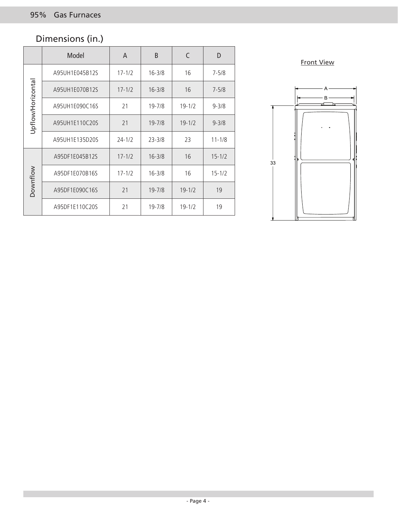## Dimensions (in.)

|                  | Model          | A          | B          | C          | D          |
|------------------|----------------|------------|------------|------------|------------|
| Upflow/Horizonta | A95UH1E045B12S | $17 - 1/2$ | $16 - 3/8$ | 16         | $7 - 5/8$  |
|                  | A95UH1E070B12S | $17 - 1/2$ | $16 - 3/8$ | 16         | $7 - 5/8$  |
|                  | A95UH1E090C16S | 21         | 19-7/8     | $19 - 1/2$ | $9 - 3/8$  |
|                  | A95UH1E110C20S | 21         | $19 - 7/8$ | $19 - 1/2$ | $9 - 3/8$  |
|                  | A95UH1E135D20S | $24 - 1/2$ | $23 - 3/8$ | 23         | $11 - 1/8$ |
| <b>Downflow</b>  | A95DF1E045B12S | $17 - 1/2$ | $16 - 3/8$ | 16         | $15 - 1/2$ |
|                  | A95DF1E070B16S | $17 - 1/2$ | $16 - 3/8$ | 16         | $15 - 1/2$ |
|                  | A95DF1E090C16S | 21         | $19 - 7/8$ | $19 - 1/2$ | 19         |
|                  | A95DF1E110C20S | 21         | $19 - 7/8$ | $19 - 1/2$ | 19         |

Front View

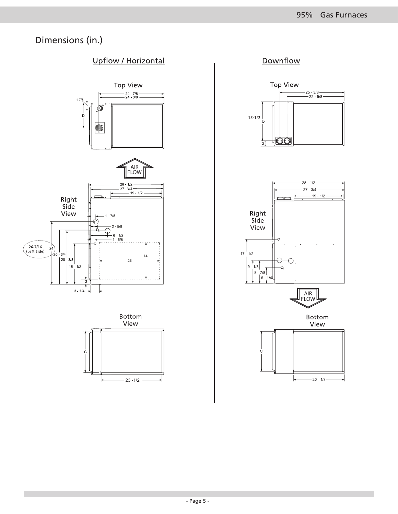## Dimensions (in.)

#### **Upflow / Horizontal**





#### Downflow